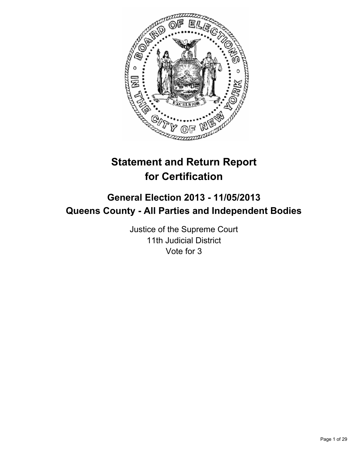

# **Statement and Return Report for Certification**

# **General Election 2013 - 11/05/2013 Queens County - All Parties and Independent Bodies**

Justice of the Supreme Court 11th Judicial District Vote for 3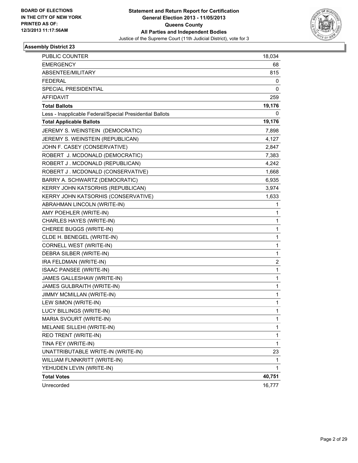

| PUBLIC COUNTER                                           | 18,034 |
|----------------------------------------------------------|--------|
| <b>EMERGENCY</b>                                         | 68     |
| ABSENTEE/MILITARY                                        | 815    |
| <b>FEDERAL</b>                                           | 0      |
| SPECIAL PRESIDENTIAL                                     | 0      |
| <b>AFFIDAVIT</b>                                         | 259    |
| <b>Total Ballots</b>                                     | 19,176 |
| Less - Inapplicable Federal/Special Presidential Ballots | 0      |
| <b>Total Applicable Ballots</b>                          | 19,176 |
| JEREMY S. WEINSTEIN (DEMOCRATIC)                         | 7,898  |
| JEREMY S. WEINSTEIN (REPUBLICAN)                         | 4,127  |
| JOHN F. CASEY (CONSERVATIVE)                             | 2,847  |
| ROBERT J. MCDONALD (DEMOCRATIC)                          | 7,383  |
| ROBERT J. MCDONALD (REPUBLICAN)                          | 4,242  |
| ROBERT J. MCDONALD (CONSERVATIVE)                        | 1,668  |
| BARRY A. SCHWARTZ (DEMOCRATIC)                           | 6,935  |
| KERRY JOHN KATSORHIS (REPUBLICAN)                        | 3,974  |
| KERRY JOHN KATSORHIS (CONSERVATIVE)                      | 1,633  |
| ABRAHMAN LINCOLN (WRITE-IN)                              | 1      |
| AMY POEHLER (WRITE-IN)                                   | 1      |
| CHARLES HAYES (WRITE-IN)                                 | 1      |
| CHEREE BUGGS (WRITE-IN)                                  | 1      |
| CLDE H. BENEGEL (WRITE-IN)                               | 1      |
| CORNELL WEST (WRITE-IN)                                  | 1      |
| DEBRA SILBER (WRITE-IN)                                  | 1      |
| IRA FELDMAN (WRITE-IN)                                   | 2      |
| ISAAC PANSEE (WRITE-IN)                                  | 1      |
| JAMES GALLESHAW (WRITE-IN)                               | 1      |
| JAMES GULBRAITH (WRITE-IN)                               | 1      |
| JIMMY MCMILLAN (WRITE-IN)                                | 1      |
| LEW SIMON (WRITE-IN)                                     | 1      |
| LUCY BILLINGS (WRITE-IN)                                 | 1      |
| MARIA SVOURT (WRITE-IN)                                  | 1      |
| MELANIE SILLEHI (WRITE-IN)                               | 1      |
| REO TRENT (WRITE-IN)                                     | 1      |
| TINA FEY (WRITE-IN)                                      | 1      |
| UNATTRIBUTABLE WRITE-IN (WRITE-IN)                       | 23     |
| WILLIAM FLNNKRITT (WRITE-IN)                             | 1      |
| YEHUDEN LEVIN (WRITE-IN)                                 | 1      |
| <b>Total Votes</b>                                       | 40,751 |
| Unrecorded                                               | 16,777 |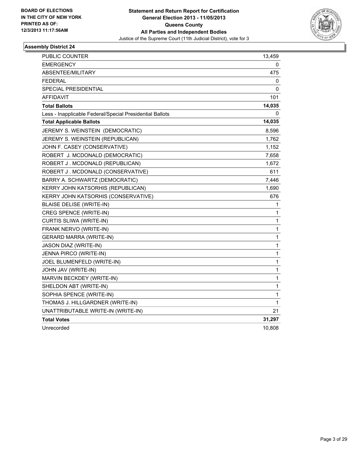

| PUBLIC COUNTER                                           | 13,459       |
|----------------------------------------------------------|--------------|
| <b>EMERGENCY</b>                                         | 0            |
| <b>ABSENTEE/MILITARY</b>                                 | 475          |
| <b>FEDERAL</b>                                           | 0            |
| <b>SPECIAL PRESIDENTIAL</b>                              | 0            |
| <b>AFFIDAVIT</b>                                         | 101          |
| <b>Total Ballots</b>                                     | 14,035       |
| Less - Inapplicable Federal/Special Presidential Ballots | 0            |
| <b>Total Applicable Ballots</b>                          | 14,035       |
| JEREMY S. WEINSTEIN (DEMOCRATIC)                         | 8,596        |
| JEREMY S. WEINSTEIN (REPUBLICAN)                         | 1,762        |
| JOHN F. CASEY (CONSERVATIVE)                             | 1,152        |
| ROBERT J. MCDONALD (DEMOCRATIC)                          | 7,658        |
| ROBERT J. MCDONALD (REPUBLICAN)                          | 1,672        |
| ROBERT J. MCDONALD (CONSERVATIVE)                        | 611          |
| BARRY A. SCHWARTZ (DEMOCRATIC)                           | 7,446        |
| KERRY JOHN KATSORHIS (REPUBLICAN)                        | 1,690        |
| KERRY JOHN KATSORHIS (CONSERVATIVE)                      | 676          |
| <b>BLAISE DELISE (WRITE-IN)</b>                          | 1            |
| CREG SPENCE (WRITE-IN)                                   | 1            |
| CURTIS SLIWA (WRITE-IN)                                  | $\mathbf{1}$ |
| FRANK NERVO (WRITE-IN)                                   | 1            |
| <b>GERARD MARRA (WRITE-IN)</b>                           | 1            |
| JASON DIAZ (WRITE-IN)                                    | 1            |
| JENNA PIRCO (WRITE-IN)                                   | 1            |
| JOEL BLUMENFELD (WRITE-IN)                               | $\mathbf{1}$ |
| JOHN JAV (WRITE-IN)                                      | 1            |
| MARVIN BECKDEY (WRITE-IN)                                | 1            |
| SHELDON ABT (WRITE-IN)                                   | 1            |
| SOPHIA SPENCE (WRITE-IN)                                 | 1            |
| THOMAS J. HILLGARDNER (WRITE-IN)                         | 1            |
| UNATTRIBUTABLE WRITE-IN (WRITE-IN)                       | 21           |
| <b>Total Votes</b>                                       | 31,297       |
| Unrecorded                                               | 10,808       |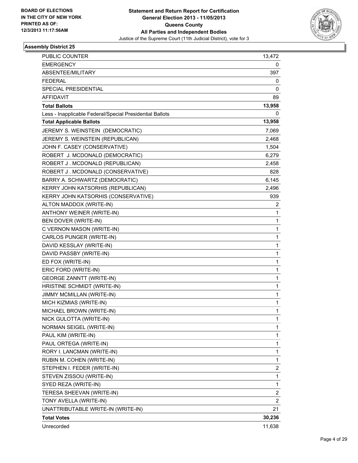

| PUBLIC COUNTER                                           | 13,472         |
|----------------------------------------------------------|----------------|
| <b>EMERGENCY</b>                                         | 0              |
| ABSENTEE/MILITARY                                        | 397            |
| <b>FEDERAL</b>                                           | 0              |
| SPECIAL PRESIDENTIAL                                     | 0              |
| AFFIDAVIT                                                | 89             |
| <b>Total Ballots</b>                                     | 13,958         |
| Less - Inapplicable Federal/Special Presidential Ballots | 0              |
| <b>Total Applicable Ballots</b>                          | 13,958         |
| JEREMY S. WEINSTEIN (DEMOCRATIC)                         | 7,069          |
| JEREMY S. WEINSTEIN (REPUBLICAN)                         | 2,468          |
| JOHN F. CASEY (CONSERVATIVE)                             | 1,504          |
| ROBERT J. MCDONALD (DEMOCRATIC)                          | 6,279          |
| ROBERT J. MCDONALD (REPUBLICAN)                          | 2,458          |
| ROBERT J. MCDONALD (CONSERVATIVE)                        | 828            |
| BARRY A. SCHWARTZ (DEMOCRATIC)                           | 6,145          |
| KERRY JOHN KATSORHIS (REPUBLICAN)                        | 2,496          |
| KERRY JOHN KATSORHIS (CONSERVATIVE)                      | 939            |
| ALTON MADDOX (WRITE-IN)                                  | 2              |
| ANTHONY WEINER (WRITE-IN)                                | 1              |
| BEN DOVER (WRITE-IN)                                     | 1              |
| C VERNON MASON (WRITE-IN)                                | 1              |
| CARLOS PUNGER (WRITE-IN)                                 | 1              |
| DAVID KESSLAY (WRITE-IN)                                 | 1              |
| DAVID PASSBY (WRITE-IN)                                  | 1              |
| ED FOX (WRITE-IN)                                        | $\mathbf{1}$   |
| ERIC FORD (WRITE-IN)                                     | 1              |
| <b>GEORGE ZANNTT (WRITE-IN)</b>                          | 1              |
| HRISTINE SCHMIDT (WRITE-IN)                              | 1              |
| JIMMY MCMILLAN (WRITE-IN)                                | 1              |
| MICH KIZMIAS (WRITE-IN)                                  | 1              |
| MICHAEL BROWN (WRITE-IN)                                 | 1              |
| NICK GULOTTA (WRITE-IN)                                  | 1              |
| NORMAN SEIGEL (WRITE-IN)                                 | 1              |
| PAUL KIM (WRITE-IN)                                      | 1              |
| PAUL ORTEGA (WRITE-IN)                                   | 1              |
| RORY I. LANCMAN (WRITE-IN)                               | 1              |
| RUBIN M. COHEN (WRITE-IN)                                | 1              |
| STEPHEN I. FEDER (WRITE-IN)                              | 2              |
| STEVEN ZISSOU (WRITE-IN)                                 | 1              |
| SYED REZA (WRITE-IN)                                     | 1              |
| TERESA SHEEVAN (WRITE-IN)                                | 2              |
| TONY AVELLA (WRITE-IN)                                   | $\overline{2}$ |
| UNATTRIBUTABLE WRITE-IN (WRITE-IN)                       | 21             |
| <b>Total Votes</b>                                       | 30,236         |
| Unrecorded                                               | 11,638         |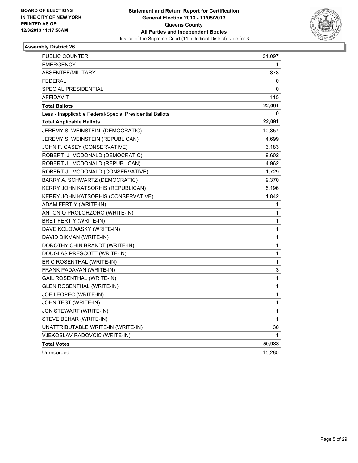

| PUBLIC COUNTER                                           | 21,097 |
|----------------------------------------------------------|--------|
| <b>EMERGENCY</b>                                         | 1.     |
| <b>ABSENTEE/MILITARY</b>                                 | 878    |
| <b>FEDERAL</b>                                           | 0      |
| <b>SPECIAL PRESIDENTIAL</b>                              | 0      |
| AFFIDAVIT                                                | 115    |
| <b>Total Ballots</b>                                     | 22,091 |
| Less - Inapplicable Federal/Special Presidential Ballots | 0      |
| <b>Total Applicable Ballots</b>                          | 22,091 |
| JEREMY S. WEINSTEIN (DEMOCRATIC)                         | 10,357 |
| JEREMY S. WEINSTEIN (REPUBLICAN)                         | 4,699  |
| JOHN F. CASEY (CONSERVATIVE)                             | 3,183  |
| ROBERT J. MCDONALD (DEMOCRATIC)                          | 9,602  |
| ROBERT J. MCDONALD (REPUBLICAN)                          | 4,962  |
| ROBERT J. MCDONALD (CONSERVATIVE)                        | 1,729  |
| BARRY A. SCHWARTZ (DEMOCRATIC)                           | 9,370  |
| KERRY JOHN KATSORHIS (REPUBLICAN)                        | 5,196  |
| KERRY JOHN KATSORHIS (CONSERVATIVE)                      | 1,842  |
| ADAM FERTIY (WRITE-IN)                                   | 1      |
| ANTONIO PROLOHZORO (WRITE-IN)                            | 1      |
| BRET FERTIY (WRITE-IN)                                   | 1      |
| DAVE KOLOWASKY (WRITE-IN)                                | 1      |
| DAVID DIKMAN (WRITE-IN)                                  | 1      |
| DOROTHY CHIN BRANDT (WRITE-IN)                           | 1      |
| DOUGLAS PRESCOTT (WRITE-IN)                              | 1      |
| ERIC ROSENTHAL (WRITE-IN)                                | 1      |
| FRANK PADAVAN (WRITE-IN)                                 | 3      |
| <b>GAIL ROSENTHAL (WRITE-IN)</b>                         | 1      |
| <b>GLEN ROSENTHAL (WRITE-IN)</b>                         | 1      |
| JOE LEOPEC (WRITE-IN)                                    | 1      |
| JOHN TEST (WRITE-IN)                                     | 1      |
| JON STEWART (WRITE-IN)                                   | 1      |
| STEVE BEHAR (WRITE-IN)                                   | 1      |
| UNATTRIBUTABLE WRITE-IN (WRITE-IN)                       | 30     |
| VJEKOSLAV RADOVCIC (WRITE-IN)                            | 1      |
| <b>Total Votes</b>                                       | 50,988 |
| Unrecorded                                               | 15,285 |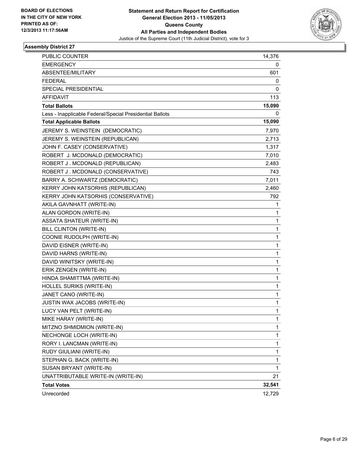

| PUBLIC COUNTER                                           | 14,376       |
|----------------------------------------------------------|--------------|
| <b>EMERGENCY</b>                                         | 0            |
| <b>ABSENTEE/MILITARY</b>                                 | 601          |
| <b>FEDERAL</b>                                           | 0            |
| SPECIAL PRESIDENTIAL                                     | 0            |
| <b>AFFIDAVIT</b>                                         | 113          |
| <b>Total Ballots</b>                                     | 15,090       |
| Less - Inapplicable Federal/Special Presidential Ballots | 0            |
| <b>Total Applicable Ballots</b>                          | 15,090       |
| JEREMY S. WEINSTEIN (DEMOCRATIC)                         | 7,970        |
| JEREMY S. WEINSTEIN (REPUBLICAN)                         | 2,713        |
| JOHN F. CASEY (CONSERVATIVE)                             | 1,317        |
| ROBERT J. MCDONALD (DEMOCRATIC)                          | 7,010        |
| ROBERT J. MCDONALD (REPUBLICAN)                          | 2,483        |
| ROBERT J. MCDONALD (CONSERVATIVE)                        | 743          |
| BARRY A. SCHWARTZ (DEMOCRATIC)                           | 7,011        |
| KERRY JOHN KATSORHIS (REPUBLICAN)                        | 2,460        |
| KERRY JOHN KATSORHIS (CONSERVATIVE)                      | 792          |
| AKILA GAVNHATT (WRITE-IN)                                | 1            |
| ALAN GORDON (WRITE-IN)                                   | 1            |
| <b>ASSATA SHATEUR (WRITE-IN)</b>                         | 1            |
| BILL CLINTON (WRITE-IN)                                  | 1            |
| COONIE RUDOLPH (WRITE-IN)                                | 1            |
| DAVID EISNER (WRITE-IN)                                  | 1            |
| DAVID HARNS (WRITE-IN)                                   | 1            |
| DAVID WINITSKY (WRITE-IN)                                | 1            |
| ERIK ZENGEN (WRITE-IN)                                   | 1            |
| HINDA SHAMITTMA (WRITE-IN)                               | 1            |
| HOLLEL SURIKS (WRITE-IN)                                 | 1            |
| JANET CANO (WRITE-IN)                                    | 1            |
| JUSTIN WAX JACOBS (WRITE-IN)                             | 1            |
| LUCY VAN PELT (WRITE-IN)                                 | 1            |
| MIKE HARAY (WRITE-IN)                                    | 1            |
| MITZNO SHMIDMION (WRITE-IN)                              | $\mathbf{1}$ |
| NECHONGE LOCH (WRITE-IN)                                 | 1            |
| RORY I. LANCMAN (WRITE-IN)                               | 1            |
| RUDY GIULIANI (WRITE-IN)                                 | 1            |
| STEPHAN G. BACK (WRITE-IN)                               | 1            |
| SUSAN BRYANT (WRITE-IN)                                  | 1            |
| UNATTRIBUTABLE WRITE-IN (WRITE-IN)                       | 21           |
| <b>Total Votes</b>                                       | 32,541       |
| Unrecorded                                               | 12,729       |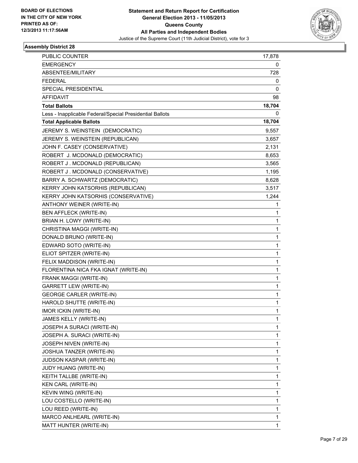

| <b>PUBLIC COUNTER</b>                                    | 17,878       |
|----------------------------------------------------------|--------------|
| <b>EMERGENCY</b>                                         | 0            |
| ABSENTEE/MILITARY                                        | 728          |
| <b>FEDERAL</b>                                           | 0            |
| SPECIAL PRESIDENTIAL                                     | 0            |
| AFFIDAVIT                                                | 98           |
| <b>Total Ballots</b>                                     | 18,704       |
| Less - Inapplicable Federal/Special Presidential Ballots | 0            |
| <b>Total Applicable Ballots</b>                          | 18,704       |
| JEREMY S. WEINSTEIN (DEMOCRATIC)                         | 9,557        |
| JEREMY S. WEINSTEIN (REPUBLICAN)                         | 3,657        |
| JOHN F. CASEY (CONSERVATIVE)                             | 2,131        |
| ROBERT J. MCDONALD (DEMOCRATIC)                          | 8,653        |
| ROBERT J. MCDONALD (REPUBLICAN)                          | 3,565        |
| ROBERT J. MCDONALD (CONSERVATIVE)                        | 1,195        |
| BARRY A. SCHWARTZ (DEMOCRATIC)                           | 8,628        |
| KERRY JOHN KATSORHIS (REPUBLICAN)                        | 3,517        |
| KERRY JOHN KATSORHIS (CONSERVATIVE)                      | 1,244        |
| ANTHONY WEINER (WRITE-IN)                                | 1            |
| BEN AFFLECK (WRITE-IN)                                   | $\mathbf{1}$ |
| BRIAN H. LOWY (WRITE-IN)                                 | 1            |
| CHRISTINA MAGGI (WRITE-IN)                               | 1            |
| DONALD BRUNO (WRITE-IN)                                  | 1            |
| EDWARD SOTO (WRITE-IN)                                   | 1            |
| ELIOT SPITZER (WRITE-IN)                                 | 1            |
| FELIX MADDISON (WRITE-IN)                                | 1            |
| FLORENTINA NICA FKA IGNAT (WRITE-IN)                     | 1            |
| FRANK MAGGI (WRITE-IN)                                   | 1            |
| <b>GARRETT LEW (WRITE-IN)</b>                            | 1            |
| <b>GEORGE CARLER (WRITE-IN)</b>                          | 1            |
| HAROLD SHUTTE (WRITE-IN)                                 | 1            |
| <b>IMOR ICKIN (WRITE-IN)</b>                             | 1            |
| JAMES KELLY (WRITE-IN)                                   | 1            |
| JOSEPH A SURACI (WRITE-IN)                               | 1            |
| JOSEPH A. SURACI (WRITE-IN)                              | 1            |
| JOSEPH NIVEN (WRITE-IN)                                  | 1            |
| JOSHUA TANZER (WRITE-IN)                                 | 1            |
| JUDSON KASPAR (WRITE-IN)                                 | 1            |
| JUDY HUANG (WRITE-IN)                                    | 1            |
| KEITH TALLBE (WRITE-IN)                                  | 1            |
| KEN CARL (WRITE-IN)                                      | 1            |
| KEVIN WING (WRITE-IN)                                    | 1            |
| LOU COSTELLO (WRITE-IN)                                  | 1            |
| LOU REED (WRITE-IN)                                      | 1            |
| MARCO ANLHEARL (WRITE-IN)                                | 1            |
| MATT HUNTER (WRITE-IN)                                   | 1            |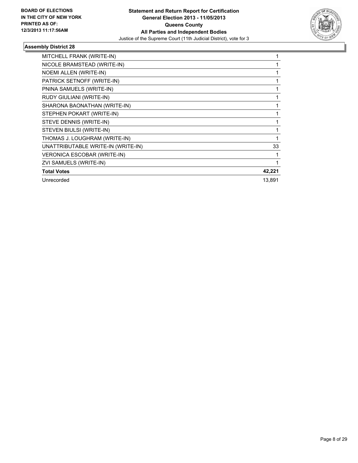

| MITCHELL FRANK (WRITE-IN)          |        |
|------------------------------------|--------|
| NICOLE BRAMSTEAD (WRITE-IN)        |        |
| NOEMI ALLEN (WRITE-IN)             |        |
| PATRICK SETNOFF (WRITE-IN)         |        |
| PNINA SAMUELS (WRITE-IN)           |        |
| RUDY GIULIANI (WRITE-IN)           |        |
| SHARONA BAONATHAN (WRITE-IN)       |        |
| STEPHEN POKART (WRITE-IN)          |        |
| STEVE DENNIS (WRITE-IN)            |        |
| STEVEN BIULSI (WRITE-IN)           |        |
| THOMAS J. LOUGHRAM (WRITE-IN)      |        |
| UNATTRIBUTABLE WRITE-IN (WRITE-IN) | 33     |
| VERONICA ESCOBAR (WRITE-IN)        |        |
| ZVI SAMUELS (WRITE-IN)             |        |
| <b>Total Votes</b>                 | 42,221 |
| Unrecorded                         | 13,891 |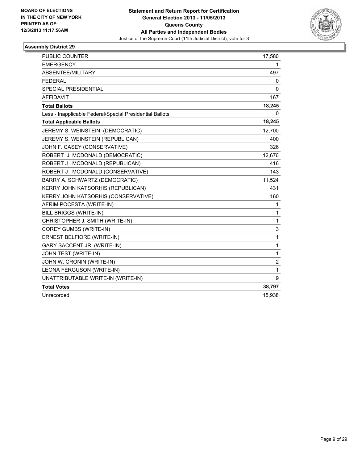

| <b>PUBLIC COUNTER</b>                                    | 17,580         |
|----------------------------------------------------------|----------------|
| <b>EMERGENCY</b>                                         | 1              |
| ABSENTEE/MILITARY                                        | 497            |
| <b>FEDERAL</b>                                           | 0              |
| <b>SPECIAL PRESIDENTIAL</b>                              | 0              |
| <b>AFFIDAVIT</b>                                         | 167            |
| <b>Total Ballots</b>                                     | 18,245         |
| Less - Inapplicable Federal/Special Presidential Ballots | 0              |
| <b>Total Applicable Ballots</b>                          | 18,245         |
| JEREMY S. WEINSTEIN (DEMOCRATIC)                         | 12,700         |
| JEREMY S. WEINSTEIN (REPUBLICAN)                         | 400            |
| JOHN F. CASEY (CONSERVATIVE)                             | 326            |
| ROBERT J. MCDONALD (DEMOCRATIC)                          | 12,676         |
| ROBERT J. MCDONALD (REPUBLICAN)                          | 416            |
| ROBERT J. MCDONALD (CONSERVATIVE)                        | 143            |
| BARRY A. SCHWARTZ (DEMOCRATIC)                           | 11,524         |
| KERRY JOHN KATSORHIS (REPUBLICAN)                        | 431            |
| KERRY JOHN KATSORHIS (CONSERVATIVE)                      | 160            |
| AFRIM POCESTA (WRITE-IN)                                 | 1              |
| <b>BILL BRIGGS (WRITE-IN)</b>                            | 1              |
| CHRISTOPHER J. SMITH (WRITE-IN)                          | 1              |
| COREY GUMBS (WRITE-IN)                                   | 3              |
| ERNEST BELFIORE (WRITE-IN)                               | 1              |
| GARY SACCENT JR. (WRITE-IN)                              | 1              |
| JOHN TEST (WRITE-IN)                                     | $\mathbf{1}$   |
| JOHN W. CRONIN (WRITE-IN)                                | $\overline{2}$ |
| LEONA FERGUSON (WRITE-IN)                                | $\mathbf{1}$   |
| UNATTRIBUTABLE WRITE-IN (WRITE-IN)                       | 9              |
| <b>Total Votes</b>                                       | 38,797         |
| Unrecorded                                               | 15,938         |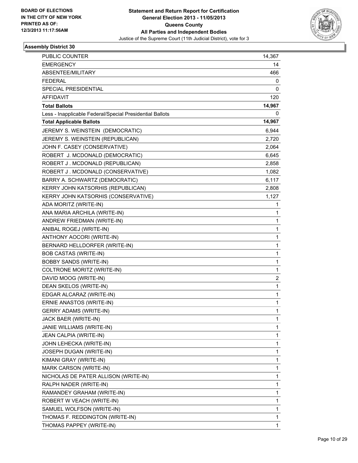

| PUBLIC COUNTER                                           | 14,367 |
|----------------------------------------------------------|--------|
| <b>EMERGENCY</b>                                         | 14     |
| ABSENTEE/MILITARY                                        | 466    |
| <b>FEDERAL</b>                                           | 0      |
| SPECIAL PRESIDENTIAL                                     | 0      |
| AFFIDAVIT                                                | 120    |
| <b>Total Ballots</b>                                     | 14,967 |
| Less - Inapplicable Federal/Special Presidential Ballots | 0      |
| <b>Total Applicable Ballots</b>                          | 14,967 |
| JEREMY S. WEINSTEIN (DEMOCRATIC)                         | 6,944  |
| JEREMY S. WEINSTEIN (REPUBLICAN)                         | 2,720  |
| JOHN F. CASEY (CONSERVATIVE)                             | 2,064  |
| ROBERT J. MCDONALD (DEMOCRATIC)                          | 6,645  |
| ROBERT J. MCDONALD (REPUBLICAN)                          | 2,858  |
| ROBERT J. MCDONALD (CONSERVATIVE)                        | 1,082  |
| BARRY A. SCHWARTZ (DEMOCRATIC)                           | 6,117  |
| KERRY JOHN KATSORHIS (REPUBLICAN)                        | 2,808  |
| KERRY JOHN KATSORHIS (CONSERVATIVE)                      | 1,127  |
| ADA MORITZ (WRITE-IN)                                    | 1      |
| ANA MARIA ARCHILA (WRITE-IN)                             | 1      |
| ANDREW FRIEDMAN (WRITE-IN)                               | 1      |
| ANIBAL ROGEJ (WRITE-IN)                                  | 1      |
| ANTHONY AOCORI (WRITE-IN)                                | 1      |
| BERNARD HELLDORFER (WRITE-IN)                            | 1      |
| <b>BOB CASTAS (WRITE-IN)</b>                             | 1      |
| <b>BOBBY SANDS (WRITE-IN)</b>                            | 1      |
| COLTRONE MORITZ (WRITE-IN)                               | 1      |
| DAVID MOOG (WRITE-IN)                                    | 2      |
| DEAN SKELOS (WRITE-IN)                                   | 1      |
| EDGAR ALCARAZ (WRITE-IN)                                 | 1      |
| ERNIE ANASTOS (WRITE-IN)                                 | 1      |
| <b>GERRY ADAMS (WRITE-IN)</b>                            | 1      |
| JACK BAER (WRITE-IN)                                     | 1      |
| JANIE WILLIAMS (WRITE-IN)                                | 1      |
| JEAN CALPIA (WRITE-IN)                                   | 1      |
| JOHN LEHECKA (WRITE-IN)                                  | 1      |
| JOSEPH DUGAN (WRITE-IN)                                  | 1      |
| KIMANI GRAY (WRITE-IN)                                   | 1      |
| MARK CARSON (WRITE-IN)                                   | 1      |
| NICHOLAS DE PATER ALLISON (WRITE-IN)                     | 1      |
| RALPH NADER (WRITE-IN)                                   | 1      |
| RAMANDEY GRAHAM (WRITE-IN)                               | 1      |
| ROBERT W VEACH (WRITE-IN)                                | 1      |
| SAMUEL WOLFSON (WRITE-IN)                                | 1      |
| THOMAS F. REDDINGTON (WRITE-IN)                          | 1      |
| THOMAS PAPPEY (WRITE-IN)                                 | 1      |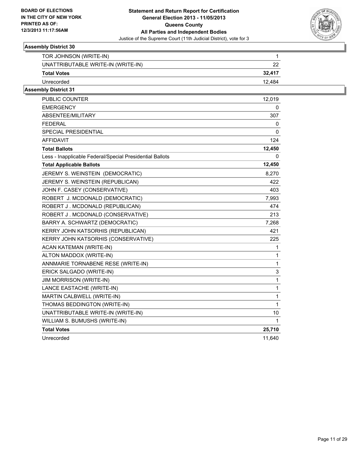

| TOR JOHNSON (WRITE-IN)             |        |
|------------------------------------|--------|
| UNATTRIBUTABLE WRITE-IN (WRITE-IN) | າາ     |
| <b>Total Votes</b>                 | 32.417 |
| Unrecorded                         | 12.484 |

| <b>PUBLIC COUNTER</b>                                    | 12,019       |
|----------------------------------------------------------|--------------|
| <b>EMERGENCY</b>                                         | 0            |
| ABSENTEE/MILITARY                                        | 307          |
| FEDERAL                                                  | 0            |
| <b>SPECIAL PRESIDENTIAL</b>                              | 0            |
| <b>AFFIDAVIT</b>                                         | 124          |
| <b>Total Ballots</b>                                     | 12,450       |
| Less - Inapplicable Federal/Special Presidential Ballots | 0            |
| <b>Total Applicable Ballots</b>                          | 12,450       |
| JEREMY S. WEINSTEIN (DEMOCRATIC)                         | 8,270        |
| JEREMY S. WEINSTEIN (REPUBLICAN)                         | 422          |
| JOHN F. CASEY (CONSERVATIVE)                             | 403          |
| ROBERT J. MCDONALD (DEMOCRATIC)                          | 7,993        |
| ROBERT J. MCDONALD (REPUBLICAN)                          | 474          |
| ROBERT J. MCDONALD (CONSERVATIVE)                        | 213          |
| BARRY A. SCHWARTZ (DEMOCRATIC)                           | 7,268        |
| KERRY JOHN KATSORHIS (REPUBLICAN)                        | 421          |
| KERRY JOHN KATSORHIS (CONSERVATIVE)                      | 225          |
| ACAN KATEMAN (WRITE-IN)                                  | 1            |
| ALTON MADDOX (WRITE-IN)                                  | 1            |
| ANNMARIE TORNABENE RESE (WRITE-IN)                       | $\mathbf{1}$ |
| ERICK SALGADO (WRITE-IN)                                 | 3            |
| <b>JIM MORRISON (WRITE-IN)</b>                           | $\mathbf 1$  |
| LANCE EASTACHE (WRITE-IN)                                | $\mathbf{1}$ |
| MARTIN CALBWELL (WRITE-IN)                               | $\mathbf{1}$ |
| THOMAS BEDDINGTON (WRITE-IN)                             | $\mathbf{1}$ |
| UNATTRIBUTABLE WRITE-IN (WRITE-IN)                       | 10           |
| WILLIAM S. BUMUSHS (WRITE-IN)                            | 1            |
| <b>Total Votes</b>                                       | 25,710       |
| Unrecorded                                               | 11,640       |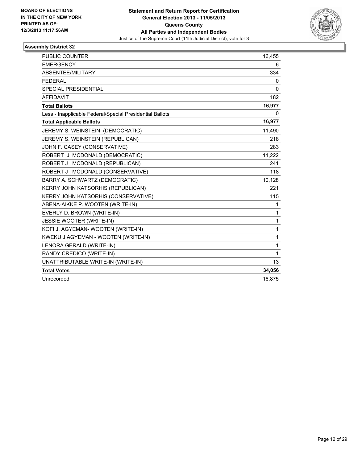

| <b>PUBLIC COUNTER</b>                                    | 16,455       |
|----------------------------------------------------------|--------------|
| <b>EMERGENCY</b>                                         | 6            |
| ABSENTEE/MILITARY                                        | 334          |
| <b>FEDERAL</b>                                           | 0            |
| <b>SPECIAL PRESIDENTIAL</b>                              | $\mathbf{0}$ |
| <b>AFFIDAVIT</b>                                         | 182          |
| <b>Total Ballots</b>                                     | 16,977       |
| Less - Inapplicable Federal/Special Presidential Ballots | $\mathbf{0}$ |
| <b>Total Applicable Ballots</b>                          | 16,977       |
| JEREMY S. WEINSTEIN (DEMOCRATIC)                         | 11,490       |
| JEREMY S. WEINSTEIN (REPUBLICAN)                         | 218          |
| JOHN F. CASEY (CONSERVATIVE)                             | 283          |
| ROBERT J. MCDONALD (DEMOCRATIC)                          | 11,222       |
| ROBERT J. MCDONALD (REPUBLICAN)                          | 241          |
| ROBERT J. MCDONALD (CONSERVATIVE)                        | 118          |
| BARRY A. SCHWARTZ (DEMOCRATIC)                           | 10,128       |
| KERRY JOHN KATSORHIS (REPUBLICAN)                        | 221          |
| KERRY JOHN KATSORHIS (CONSERVATIVE)                      | 115          |
| ABENA-AIKKE P. WOOTEN (WRITE-IN)                         | 1            |
| EVERLY D. BROWN (WRITE-IN)                               | 1            |
| JESSIE WOOTER (WRITE-IN)                                 | 1            |
| KOFI J. AGYEMAN- WOOTEN (WRITE-IN)                       | 1            |
| KWEKU J.AGYEMAN - WOOTEN (WRITE-IN)                      | 1            |
| LENORA GERALD (WRITE-IN)                                 | 1            |
| RANDY CREDICO (WRITE-IN)                                 | 1            |
| UNATTRIBUTABLE WRITE-IN (WRITE-IN)                       | 13           |
| <b>Total Votes</b>                                       | 34,056       |
| Unrecorded                                               | 16,875       |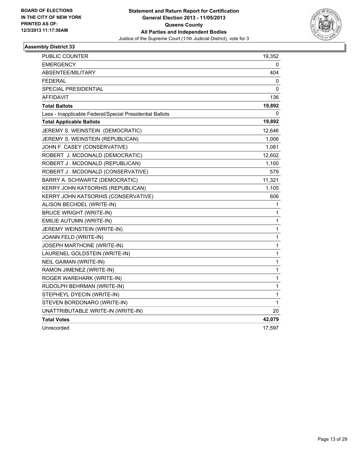

| PUBLIC COUNTER                                           | 19,352       |
|----------------------------------------------------------|--------------|
| <b>EMERGENCY</b>                                         | 0            |
| ABSENTEE/MILITARY                                        | 404          |
| <b>FEDERAL</b>                                           | 0            |
| SPECIAL PRESIDENTIAL                                     | 0            |
| AFFIDAVIT                                                | 136          |
| <b>Total Ballots</b>                                     | 19,892       |
| Less - Inapplicable Federal/Special Presidential Ballots | 0            |
| <b>Total Applicable Ballots</b>                          | 19,892       |
| JEREMY S. WEINSTEIN (DEMOCRATIC)                         | 12,646       |
| JEREMY S. WEINSTEIN (REPUBLICAN)                         | 1,006        |
| JOHN F. CASEY (CONSERVATIVE)                             | 1,081        |
| ROBERT J. MCDONALD (DEMOCRATIC)                          | 12,602       |
| ROBERT J. MCDONALD (REPUBLICAN)                          | 1,100        |
| ROBERT J. MCDONALD (CONSERVATIVE)                        | 579          |
| BARRY A. SCHWARTZ (DEMOCRATIC)                           | 11,321       |
| KERRY JOHN KATSORHIS (REPUBLICAN)                        | 1,105        |
| KERRY JOHN KATSORHIS (CONSERVATIVE)                      | 606          |
| ALISON BECHDEL (WRITE-IN)                                | 1            |
| <b>BRUCE WRIGHT (WRITE-IN)</b>                           | 1            |
| EMILIE AUTUMN (WRITE-IN)                                 | $\mathbf{1}$ |
| JEREMY WEINSTEIN (WRITE-IN)                              | $\mathbf 1$  |
| JOANN FELD (WRITE-IN)                                    | 1            |
| JOSEPH MARTHONE (WRITE-IN)                               | 1            |
| LAURENEL GOLDSTEIN (WRITE-IN)                            | $\mathbf 1$  |
| <b>NEIL GAIMAN (WRITE-IN)</b>                            | $\mathbf{1}$ |
| RAMON JIMENEZ (WRITE-IN)                                 | $\mathbf 1$  |
| ROGER WAREHARK (WRITE-IN)                                | 1            |
| RUDOLPH BEHRMAN (WRITE-IN)                               | $\mathbf{1}$ |
| STEPHEYL DYECIN (WRITE-IN)                               | 1            |
| STEVEN BORDONARO (WRITE-IN)                              | $\mathbf 1$  |
| UNATTRIBUTABLE WRITE-IN (WRITE-IN)                       | 20           |
| <b>Total Votes</b>                                       | 42,079       |
| Unrecorded                                               | 17,597       |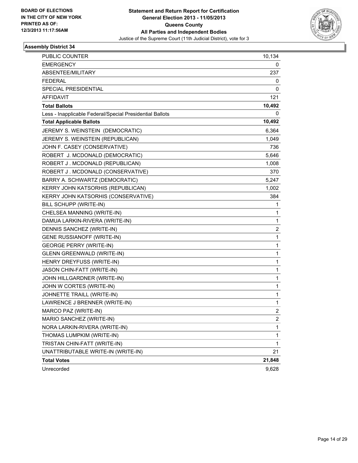

| <b>PUBLIC COUNTER</b>                                    | 10,134         |
|----------------------------------------------------------|----------------|
| <b>EMERGENCY</b>                                         | 0              |
| ABSENTEE/MILITARY                                        | 237            |
| <b>FEDERAL</b>                                           | 0              |
| <b>SPECIAL PRESIDENTIAL</b>                              | 0              |
| <b>AFFIDAVIT</b>                                         | 121            |
| <b>Total Ballots</b>                                     | 10,492         |
| Less - Inapplicable Federal/Special Presidential Ballots | 0              |
| <b>Total Applicable Ballots</b>                          | 10,492         |
| JEREMY S. WEINSTEIN (DEMOCRATIC)                         | 6,364          |
| JEREMY S. WEINSTEIN (REPUBLICAN)                         | 1,049          |
| JOHN F. CASEY (CONSERVATIVE)                             | 736            |
| ROBERT J. MCDONALD (DEMOCRATIC)                          | 5,646          |
| ROBERT J. MCDONALD (REPUBLICAN)                          | 1,008          |
| ROBERT J. MCDONALD (CONSERVATIVE)                        | 370            |
| BARRY A. SCHWARTZ (DEMOCRATIC)                           | 5,247          |
| KERRY JOHN KATSORHIS (REPUBLICAN)                        | 1,002          |
| KERRY JOHN KATSORHIS (CONSERVATIVE)                      | 384            |
| BILL SCHUPP (WRITE-IN)                                   | 1              |
| CHELSEA MANNING (WRITE-IN)                               | 1              |
| DAMUA LARKIN-RIVERA (WRITE-IN)                           | 1              |
| DENNIS SANCHEZ (WRITE-IN)                                | 2              |
| <b>GENE RUSSIANOFF (WRITE-IN)</b>                        | 1              |
| <b>GEORGE PERRY (WRITE-IN)</b>                           | 1              |
| <b>GLENN GREENWALD (WRITE-IN)</b>                        | 1              |
| HENRY DREYFUSS (WRITE-IN)                                | 1              |
| JASON CHIN-FATT (WRITE-IN)                               | 1              |
| JOHN HILLGARDNER (WRITE-IN)                              | 1              |
| JOHN W CORTES (WRITE-IN)                                 | 1              |
| JOHNETTE TRAILL (WRITE-IN)                               | 1              |
| LAWRENCE J BRENNER (WRITE-IN)                            | 1              |
| MARCO PAZ (WRITE-IN)                                     | $\overline{2}$ |
| MARIO SANCHEZ (WRITE-IN)                                 | 2              |
| NORA LARKIN-RIVERA (WRITE-IN)                            | 1              |
| THOMAS LUMPKIM (WRITE-IN)                                | 1              |
| TRISTAN CHIN-FATT (WRITE-IN)                             | 1              |
| UNATTRIBUTABLE WRITE-IN (WRITE-IN)                       | 21             |
| <b>Total Votes</b>                                       | 21,848         |
| Unrecorded                                               | 9,628          |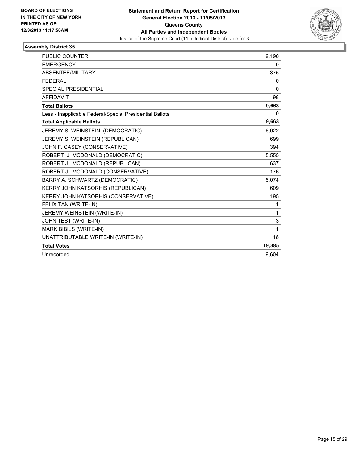

| <b>PUBLIC COUNTER</b>                                    | 9,190    |
|----------------------------------------------------------|----------|
| <b>EMERGENCY</b>                                         | 0        |
| ABSENTEE/MILITARY                                        | 375      |
| <b>FEDERAL</b>                                           | 0        |
| <b>SPECIAL PRESIDENTIAL</b>                              | 0        |
| <b>AFFIDAVIT</b>                                         | 98       |
| <b>Total Ballots</b>                                     | 9,663    |
| Less - Inapplicable Federal/Special Presidential Ballots | $\Omega$ |
| <b>Total Applicable Ballots</b>                          | 9,663    |
| JEREMY S. WEINSTEIN (DEMOCRATIC)                         | 6,022    |
| JEREMY S. WEINSTEIN (REPUBLICAN)                         | 699      |
| JOHN F. CASEY (CONSERVATIVE)                             | 394      |
| ROBERT J. MCDONALD (DEMOCRATIC)                          | 5,555    |
| ROBERT J. MCDONALD (REPUBLICAN)                          | 637      |
| ROBERT J. MCDONALD (CONSERVATIVE)                        | 176      |
| BARRY A. SCHWARTZ (DEMOCRATIC)                           | 5,074    |
| KERRY JOHN KATSORHIS (REPUBLICAN)                        | 609      |
| KERRY JOHN KATSORHIS (CONSERVATIVE)                      | 195      |
| FELIX TAN (WRITE-IN)                                     | 1        |
| JEREMY WEINSTEIN (WRITE-IN)                              | 1        |
| JOHN TEST (WRITE-IN)                                     | 3        |
| MARK BIBILS (WRITE-IN)                                   | 1        |
| UNATTRIBUTABLE WRITE-IN (WRITE-IN)                       | 18       |
| <b>Total Votes</b>                                       | 19,385   |
| Unrecorded                                               | 9.604    |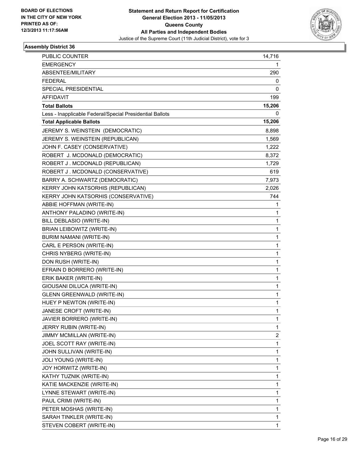

| PUBLIC COUNTER                                           | 14,716 |
|----------------------------------------------------------|--------|
| <b>EMERGENCY</b>                                         | 1      |
| ABSENTEE/MILITARY                                        | 290    |
| <b>FEDERAL</b>                                           | 0      |
| SPECIAL PRESIDENTIAL                                     | 0      |
| <b>AFFIDAVIT</b>                                         | 199    |
| <b>Total Ballots</b>                                     | 15,206 |
| Less - Inapplicable Federal/Special Presidential Ballots | 0      |
| <b>Total Applicable Ballots</b>                          | 15,206 |
| JEREMY S. WEINSTEIN (DEMOCRATIC)                         | 8,898  |
| JEREMY S. WEINSTEIN (REPUBLICAN)                         | 1,569  |
| JOHN F. CASEY (CONSERVATIVE)                             | 1,222  |
| ROBERT J. MCDONALD (DEMOCRATIC)                          | 8,372  |
| ROBERT J. MCDONALD (REPUBLICAN)                          | 1,729  |
| ROBERT J. MCDONALD (CONSERVATIVE)                        | 619    |
| BARRY A. SCHWARTZ (DEMOCRATIC)                           | 7,973  |
| KERRY JOHN KATSORHIS (REPUBLICAN)                        | 2,026  |
| KERRY JOHN KATSORHIS (CONSERVATIVE)                      | 744    |
| ABBIE HOFFMAN (WRITE-IN)                                 | 1      |
| ANTHONY PALADINO (WRITE-IN)                              | 1      |
| BILL DEBLASIO (WRITE-IN)                                 | 1      |
| BRIAN LEIBOWITZ (WRITE-IN)                               | 1      |
| <b>BURIM NAMANI (WRITE-IN)</b>                           | 1      |
| CARL E PERSON (WRITE-IN)                                 | 1      |
| CHRIS NYBERG (WRITE-IN)                                  | 1      |
| DON RUSH (WRITE-IN)                                      | 1      |
| EFRAIN D BORRERO (WRITE-IN)                              | 1      |
| ERIK BAKER (WRITE-IN)                                    | 1      |
| GIOUSANI DILUCA (WRITE-IN)                               | 1      |
| <b>GLENN GREENWALD (WRITE-IN)</b>                        | 1      |
| HUEY P NEWTON (WRITE-IN)                                 | 1      |
| JANESE CROFT (WRITE-IN)                                  | 1      |
| JAVIER BORRERO (WRITE-IN)                                | 1      |
| JERRY RUBIN (WRITE-IN)                                   | 1      |
| JIMMY MCMILLAN (WRITE-IN)                                | 2      |
| JOEL SCOTT RAY (WRITE-IN)                                | 1      |
| JOHN SULLIVAN (WRITE-IN)                                 | 1      |
| JOLI YOUNG (WRITE-IN)                                    | 1      |
| JOY HORWITZ (WRITE-IN)                                   | 1      |
| KATHY TUZNIK (WRITE-IN)                                  | 1      |
| KATIE MACKENZIE (WRITE-IN)                               | 1      |
| LYNNE STEWART (WRITE-IN)                                 | 1      |
| PAUL CRIMI (WRITE-IN)                                    | 1      |
| PETER MOSHAS (WRITE-IN)                                  | 1      |
| SARAH TINKLER (WRITE-IN)                                 | 1      |
| STEVEN COBERT (WRITE-IN)                                 | 1      |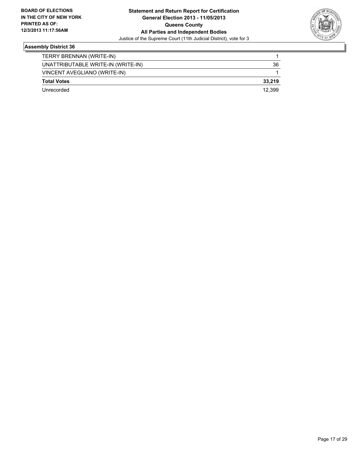

| TERRY BRENNAN (WRITE-IN)           |        |
|------------------------------------|--------|
| UNATTRIBUTABLE WRITE-IN (WRITE-IN) | 36     |
| VINCENT AVEGLIANO (WRITE-IN)       |        |
| <b>Total Votes</b>                 | 33.219 |
| Unrecorded                         | 12.399 |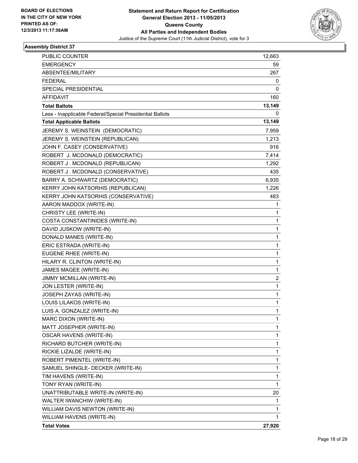

| <b>PUBLIC COUNTER</b>                                    | 12,663       |
|----------------------------------------------------------|--------------|
| <b>EMERGENCY</b>                                         | 59           |
| ABSENTEE/MILITARY                                        | 267          |
| <b>FEDERAL</b>                                           | 0            |
| SPECIAL PRESIDENTIAL                                     | 0            |
| AFFIDAVIT                                                | 160          |
| <b>Total Ballots</b>                                     | 13,149       |
| Less - Inapplicable Federal/Special Presidential Ballots | 0            |
| <b>Total Applicable Ballots</b>                          | 13,149       |
| JEREMY S. WEINSTEIN (DEMOCRATIC)                         | 7,959        |
| JEREMY S. WEINSTEIN (REPUBLICAN)                         | 1,213        |
| JOHN F. CASEY (CONSERVATIVE)                             | 916          |
| ROBERT J. MCDONALD (DEMOCRATIC)                          | 7,414        |
| ROBERT J. MCDONALD (REPUBLICAN)                          | 1,292        |
| ROBERT J. MCDONALD (CONSERVATIVE)                        | 435          |
| BARRY A. SCHWARTZ (DEMOCRATIC)                           | 6,935        |
| KERRY JOHN KATSORHIS (REPUBLICAN)                        | 1,226        |
| KERRY JOHN KATSORHIS (CONSERVATIVE)                      | 483          |
| AARON MADDOX (WRITE-IN)                                  | 1            |
| CHRISTY LEE (WRITE-IN)                                   | 1            |
| COSTA CONSTANTINIDES (WRITE-IN)                          | 1            |
| DAVID JUSKOW (WRITE-IN)                                  | 1            |
| DONALD MANES (WRITE-IN)                                  | 1            |
| ERIC ESTRADA (WRITE-IN)                                  | 1            |
| EUGENE RHEE (WRITE-IN)                                   | 1            |
| HILARY R. CLINTON (WRITE-IN)                             | 1            |
| JAMES MAGEE (WRITE-IN)                                   | 1            |
| JIMMY MCMILLAN (WRITE-IN)                                | 2            |
| JON LESTER (WRITE-IN)                                    | $\mathbf{1}$ |
| JOSEPH ZAYAS (WRITE-IN)                                  | 1            |
| LOUIS LILAKOS (WRITE-IN)                                 | 1            |
| LUIS A. GONZALEZ (WRITE-IN)                              | 1            |
| MARC DIXON (WRITE-IN)                                    | 1            |
| MATT JOSEPHER (WRITE-IN)                                 | 1            |
| OSCAR HAVENS (WRITE-IN)                                  | 1            |
| RICHARD BUTCHER (WRITE-IN)                               | 1            |
| RICKIE LIZALDE (WRITE-IN)                                | 1            |
| ROBERT PIMENTEL (WRITE-IN)                               | 1            |
| SAMUEL SHINGLE- DECKER (WRITE-IN)                        | 1            |
| TIM HAVENS (WRITE-IN)                                    | 1            |
| TONY RYAN (WRITE-IN)                                     | 1            |
| UNATTRIBUTABLE WRITE-IN (WRITE-IN)                       | 20           |
| WALTER IWANCHIW (WRITE-IN)                               | 1            |
| WILLIAM DAVIS NEWTON (WRITE-IN)                          | 1            |
| WILLIAM HAVENS (WRITE-IN)                                | 1.           |
| <b>Total Votes</b>                                       | 27,920       |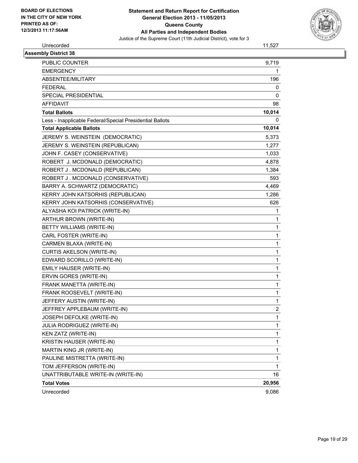

# Unrecorded 11,527

| <b>Assembly District 38</b>                              |                |
|----------------------------------------------------------|----------------|
| <b>PUBLIC COUNTER</b>                                    | 9,719          |
| <b>EMERGENCY</b>                                         | 1              |
| ABSENTEE/MILITARY                                        | 196            |
| <b>FEDERAL</b>                                           | 0              |
| <b>SPECIAL PRESIDENTIAL</b>                              | 0              |
| <b>AFFIDAVIT</b>                                         | 98             |
| <b>Total Ballots</b>                                     | 10,014         |
| Less - Inapplicable Federal/Special Presidential Ballots | 0              |
| <b>Total Applicable Ballots</b>                          | 10,014         |
| JEREMY S. WEINSTEIN (DEMOCRATIC)                         | 5,373          |
| JEREMY S. WEINSTEIN (REPUBLICAN)                         | 1,277          |
| JOHN F. CASEY (CONSERVATIVE)                             | 1,033          |
| ROBERT J. MCDONALD (DEMOCRATIC)                          | 4,878          |
| ROBERT J. MCDONALD (REPUBLICAN)                          | 1,384          |
| ROBERT J. MCDONALD (CONSERVATIVE)                        | 593            |
| BARRY A. SCHWARTZ (DEMOCRATIC)                           | 4,469          |
| KERRY JOHN KATSORHIS (REPUBLICAN)                        | 1,286          |
| KERRY JOHN KATSORHIS (CONSERVATIVE)                      | 626            |
| ALYASHA KOI PATRICK (WRITE-IN)                           | 1              |
| ARTHUR BROWN (WRITE-IN)                                  | 1              |
| BETTY WILLIAMS (WRITE-IN)                                | 1              |
| CARL FOSTER (WRITE-IN)                                   | $\mathbf 1$    |
| CARMEN BLAXA (WRITE-IN)                                  | $\mathbf{1}$   |
| CURTIS AKELSON (WRITE-IN)                                | 1              |
| EDWARD SCORILLO (WRITE-IN)                               | $\mathbf 1$    |
| EMILY HAUSER (WRITE-IN)                                  | $\mathbf{1}$   |
| ERVIN GORES (WRITE-IN)                                   | 1              |
| FRANK MANETTA (WRITE-IN)                                 | $\mathbf 1$    |
| FRANK ROOSEVELT (WRITE-IN)                               | $\mathbf{1}$   |
| JEFFERY AUSTIN (WRITE-IN)                                | 1              |
| JEFFREY APPLEBAUM (WRITE-IN)                             | $\overline{2}$ |
| JOSEPH DEFOLKE (WRITE-IN)                                | $\mathbf{1}$   |
| JULIA RODRIGUEZ (WRITE-IN)                               | 1              |
| KEN ZATZ (WRITE-IN)                                      | $\mathbf{1}$   |
| KRISTIN HAUSER (WRITE-IN)                                | $\mathbf{1}$   |
| MARTIN KING JR (WRITE-IN)                                | $\mathbf 1$    |
| PAULINE MISTRETTA (WRITE-IN)                             | 1              |
| TOM JEFFERSON (WRITE-IN)                                 | $\mathbf{1}$   |
| UNATTRIBUTABLE WRITE-IN (WRITE-IN)                       | 16             |
| <b>Total Votes</b>                                       | 20,956         |
| Unrecorded                                               | 9,086          |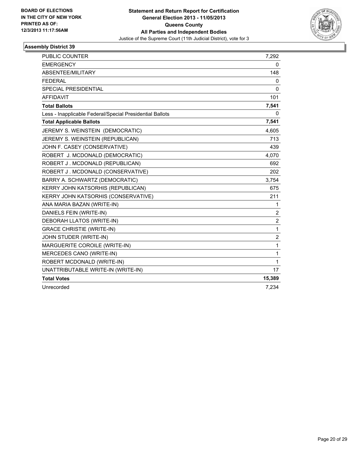

| <b>PUBLIC COUNTER</b>                                    | 7,292          |
|----------------------------------------------------------|----------------|
| <b>EMERGENCY</b>                                         | 0              |
| ABSENTEE/MILITARY                                        | 148            |
| <b>FEDERAL</b>                                           | 0              |
| SPECIAL PRESIDENTIAL                                     | $\Omega$       |
| <b>AFFIDAVIT</b>                                         | 101            |
| <b>Total Ballots</b>                                     | 7,541          |
| Less - Inapplicable Federal/Special Presidential Ballots | 0              |
| <b>Total Applicable Ballots</b>                          | 7,541          |
| JEREMY S. WEINSTEIN (DEMOCRATIC)                         | 4,605          |
| JEREMY S. WEINSTEIN (REPUBLICAN)                         | 713            |
| JOHN F. CASEY (CONSERVATIVE)                             | 439            |
| ROBERT J. MCDONALD (DEMOCRATIC)                          | 4,070          |
| ROBERT J. MCDONALD (REPUBLICAN)                          | 692            |
| ROBERT J. MCDONALD (CONSERVATIVE)                        | 202            |
| BARRY A. SCHWARTZ (DEMOCRATIC)                           | 3,754          |
| KERRY JOHN KATSORHIS (REPUBLICAN)                        | 675            |
| KERRY JOHN KATSORHIS (CONSERVATIVE)                      | 211            |
| ANA MARIA BAZAN (WRITE-IN)                               | 1              |
| DANIELS FEIN (WRITE-IN)                                  | 2              |
| DEBORAH LLATOS (WRITE-IN)                                | $\overline{2}$ |
| <b>GRACE CHRISTIE (WRITE-IN)</b>                         | $\mathbf{1}$   |
| JOHN STUDER (WRITE-IN)                                   | $\overline{2}$ |
| MARGUERITE COROILE (WRITE-IN)                            | $\mathbf{1}$   |
| MERCEDES CANO (WRITE-IN)                                 | $\mathbf{1}$   |
| ROBERT MCDONALD (WRITE-IN)                               | $\mathbf{1}$   |
| UNATTRIBUTABLE WRITE-IN (WRITE-IN)                       | 17             |
| <b>Total Votes</b>                                       | 15,389         |
| Unrecorded                                               | 7,234          |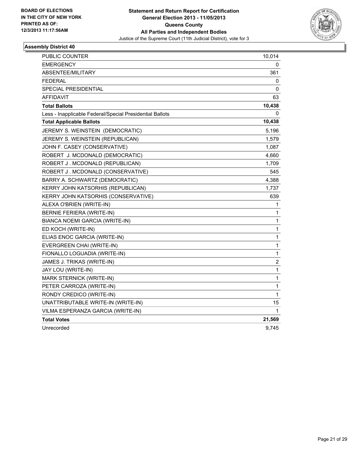

| PUBLIC COUNTER                                           | 10,014         |
|----------------------------------------------------------|----------------|
| <b>EMERGENCY</b>                                         | 0              |
| ABSENTEE/MILITARY                                        | 361            |
| <b>FEDERAL</b>                                           | 0              |
| SPECIAL PRESIDENTIAL                                     | 0              |
| AFFIDAVIT                                                | 63             |
| <b>Total Ballots</b>                                     | 10,438         |
| Less - Inapplicable Federal/Special Presidential Ballots | 0              |
| <b>Total Applicable Ballots</b>                          | 10,438         |
| JEREMY S. WEINSTEIN (DEMOCRATIC)                         | 5,196          |
| JEREMY S. WEINSTEIN (REPUBLICAN)                         | 1,579          |
| JOHN F. CASEY (CONSERVATIVE)                             | 1,087          |
| ROBERT J. MCDONALD (DEMOCRATIC)                          | 4,660          |
| ROBERT J. MCDONALD (REPUBLICAN)                          | 1,709          |
| ROBERT J. MCDONALD (CONSERVATIVE)                        | 545            |
| BARRY A. SCHWARTZ (DEMOCRATIC)                           | 4,388          |
| KERRY JOHN KATSORHIS (REPUBLICAN)                        | 1,737          |
| KERRY JOHN KATSORHIS (CONSERVATIVE)                      | 639            |
| ALEXA O'BRIEN (WRITE-IN)                                 | 1              |
| <b>BERNIE FERIERA (WRITE-IN)</b>                         | 1              |
| BIANCA NOEMI GARCIA (WRITE-IN)                           | 1              |
| ED KOCH (WRITE-IN)                                       | 1              |
| ELIAS ENOC GARCIA (WRITE-IN)                             | 1              |
| EVERGREEN CHAI (WRITE-IN)                                | 1              |
| FIONALLO LOGUADIA (WRITE-IN)                             | 1              |
| JAMES J. TRIKAS (WRITE-IN)                               | $\overline{c}$ |
| JAY LOU (WRITE-IN)                                       | 1              |
| MARK STERNICK (WRITE-IN)                                 | 1              |
| PETER CARROZA (WRITE-IN)                                 | 1              |
| RONDY CREDICO (WRITE-IN)                                 | 1              |
| UNATTRIBUTABLE WRITE-IN (WRITE-IN)                       | 15             |
| VILMA ESPERANZA GARCIA (WRITE-IN)                        | 1              |
| <b>Total Votes</b>                                       | 21,569         |
| Unrecorded                                               | 9,745          |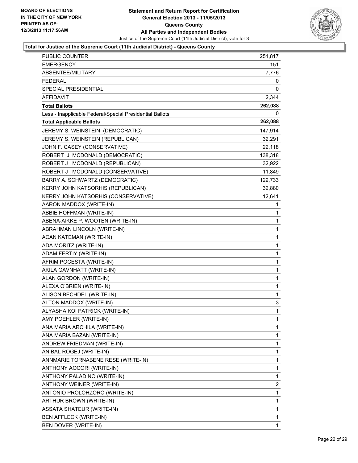

| <b>PUBLIC COUNTER</b>                                    | 251,817 |
|----------------------------------------------------------|---------|
| <b>EMERGENCY</b>                                         | 151     |
| ABSENTEE/MILITARY                                        | 7,776   |
| <b>FEDERAL</b>                                           | 0       |
| SPECIAL PRESIDENTIAL                                     | 0       |
| <b>AFFIDAVIT</b>                                         | 2,344   |
| <b>Total Ballots</b>                                     | 262,088 |
| Less - Inapplicable Federal/Special Presidential Ballots | 0       |
| <b>Total Applicable Ballots</b>                          | 262,088 |
| JEREMY S. WEINSTEIN (DEMOCRATIC)                         | 147,914 |
| JEREMY S. WEINSTEIN (REPUBLICAN)                         | 32,291  |
| JOHN F. CASEY (CONSERVATIVE)                             | 22,118  |
| ROBERT J. MCDONALD (DEMOCRATIC)                          | 138,318 |
| ROBERT J. MCDONALD (REPUBLICAN)                          | 32,922  |
| ROBERT J. MCDONALD (CONSERVATIVE)                        | 11,849  |
| BARRY A. SCHWARTZ (DEMOCRATIC)                           | 129,733 |
| KERRY JOHN KATSORHIS (REPUBLICAN)                        | 32,880  |
| KERRY JOHN KATSORHIS (CONSERVATIVE)                      | 12,641  |
| AARON MADDOX (WRITE-IN)                                  | 1       |
| ABBIE HOFFMAN (WRITE-IN)                                 | 1       |
| ABENA-AIKKE P. WOOTEN (WRITE-IN)                         | 1       |
| ABRAHMAN LINCOLN (WRITE-IN)                              | 1       |
| ACAN KATEMAN (WRITE-IN)                                  | 1       |
| ADA MORITZ (WRITE-IN)                                    | 1       |
| ADAM FERTIY (WRITE-IN)                                   | 1       |
| AFRIM POCESTA (WRITE-IN)                                 | 1       |
| AKILA GAVNHATT (WRITE-IN)                                | 1       |
| ALAN GORDON (WRITE-IN)                                   | 1       |
| ALEXA O'BRIEN (WRITE-IN)                                 | 1       |
| ALISON BECHDEL (WRITE-IN)                                | 1       |
| ALTON MADDOX (WRITE-IN)                                  | 3       |
| ALYASHA KOI PATRICK (WRITE-IN)                           | 1       |
| AMY POEHLER (WRITE-IN)                                   | 1       |
| ANA MARIA ARCHILA (WRITE-IN)                             | 1       |
| ANA MARIA BAZAN (WRITE-IN)                               | 1       |
| ANDREW FRIEDMAN (WRITE-IN)                               | 1       |
| ANIBAL ROGEJ (WRITE-IN)                                  | 1       |
| ANNMARIE TORNABENE RESE (WRITE-IN)                       | 1       |
| ANTHONY AOCORI (WRITE-IN)                                | 1       |
| ANTHONY PALADINO (WRITE-IN)                              | 1       |
| ANTHONY WEINER (WRITE-IN)                                | 2       |
| ANTONIO PROLOHZORO (WRITE-IN)                            | 1       |
| ARTHUR BROWN (WRITE-IN)                                  | 1       |
| ASSATA SHATEUR (WRITE-IN)                                | 1       |
| BEN AFFLECK (WRITE-IN)                                   | 1       |
| BEN DOVER (WRITE-IN)                                     | 1       |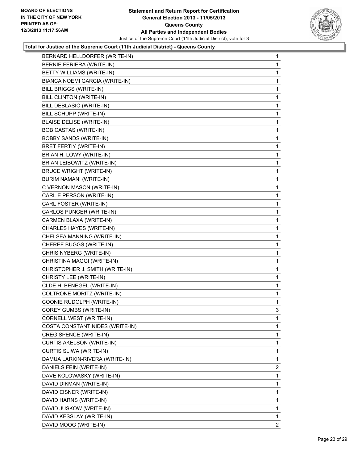

| BERNARD HELLDORFER (WRITE-IN)    | $\mathbf{1}$ |
|----------------------------------|--------------|
| BERNIE FERIERA (WRITE-IN)        | 1            |
| <b>BETTY WILLIAMS (WRITE-IN)</b> | 1            |
| BIANCA NOEMI GARCIA (WRITE-IN)   | 1            |
| BILL BRIGGS (WRITE-IN)           | 1            |
| BILL CLINTON (WRITE-IN)          | 1            |
| BILL DEBLASIO (WRITE-IN)         | 1            |
| BILL SCHUPP (WRITE-IN)           | 1            |
| <b>BLAISE DELISE (WRITE-IN)</b>  | 1            |
| <b>BOB CASTAS (WRITE-IN)</b>     | 1            |
| <b>BOBBY SANDS (WRITE-IN)</b>    | 1            |
| BRET FERTIY (WRITE-IN)           | 1            |
| BRIAN H. LOWY (WRITE-IN)         | 1            |
| BRIAN LEIBOWITZ (WRITE-IN)       | 1            |
| <b>BRUCE WRIGHT (WRITE-IN)</b>   | 1            |
| BURIM NAMANI (WRITE-IN)          | 1            |
| C VERNON MASON (WRITE-IN)        | 1            |
| CARL E PERSON (WRITE-IN)         | 1            |
| CARL FOSTER (WRITE-IN)           | 1            |
| CARLOS PUNGER (WRITE-IN)         | 1            |
| CARMEN BLAXA (WRITE-IN)          | 1            |
| CHARLES HAYES (WRITE-IN)         | 1            |
| CHELSEA MANNING (WRITE-IN)       | 1            |
| CHEREE BUGGS (WRITE-IN)          | 1            |
| CHRIS NYBERG (WRITE-IN)          | 1            |
| CHRISTINA MAGGI (WRITE-IN)       | 1            |
| CHRISTOPHER J. SMITH (WRITE-IN)  | 1            |
| CHRISTY LEE (WRITE-IN)           | 1            |
| CLDE H. BENEGEL (WRITE-IN)       | 1            |
| COLTRONE MORITZ (WRITE-IN)       | 1            |
| COONIE RUDOLPH (WRITE-IN)        | 1            |
| COREY GUMBS (WRITE-IN)           | 3            |
| CORNELL WEST (WRITE-IN)          | 1            |
| COSTA CONSTANTINIDES (WRITE-IN)  | 1            |
| CREG SPENCE (WRITE-IN)           | 1            |
| <b>CURTIS AKELSON (WRITE-IN)</b> | 1            |
| CURTIS SLIWA (WRITE-IN)          | 1            |
| DAMUA LARKIN-RIVERA (WRITE-IN)   | 1            |
| DANIELS FEIN (WRITE-IN)          | 2            |
| DAVE KOLOWASKY (WRITE-IN)        | 1            |
| DAVID DIKMAN (WRITE-IN)          | 1            |
| DAVID EISNER (WRITE-IN)          | 1            |
| DAVID HARNS (WRITE-IN)           | 1            |
| DAVID JUSKOW (WRITE-IN)          | $\mathbf{1}$ |
| DAVID KESSLAY (WRITE-IN)         | 1            |
| DAVID MOOG (WRITE-IN)            | 2            |
|                                  |              |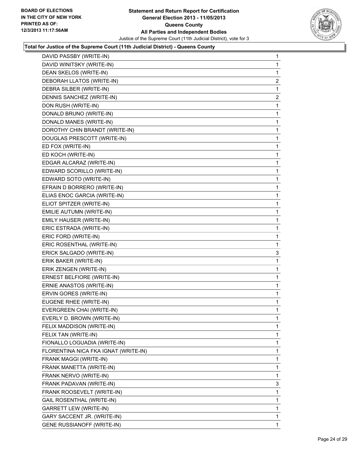

| DAVID PASSBY (WRITE-IN)              | 1 |
|--------------------------------------|---|
| DAVID WINITSKY (WRITE-IN)            | 1 |
| DEAN SKELOS (WRITE-IN)               | 1 |
| DEBORAH LLATOS (WRITE-IN)            | 2 |
| DEBRA SILBER (WRITE-IN)              | 1 |
| DENNIS SANCHEZ (WRITE-IN)            | 2 |
| DON RUSH (WRITE-IN)                  | 1 |
| DONALD BRUNO (WRITE-IN)              | 1 |
| DONALD MANES (WRITE-IN)              | 1 |
| DOROTHY CHIN BRANDT (WRITE-IN)       | 1 |
| DOUGLAS PRESCOTT (WRITE-IN)          | 1 |
| ED FOX (WRITE-IN)                    | 1 |
| ED KOCH (WRITE-IN)                   | 1 |
| EDGAR ALCARAZ (WRITE-IN)             | 1 |
| EDWARD SCORILLO (WRITE-IN)           | 1 |
| EDWARD SOTO (WRITE-IN)               | 1 |
| EFRAIN D BORRERO (WRITE-IN)          | 1 |
| ELIAS ENOC GARCIA (WRITE-IN)         | 1 |
| ELIOT SPITZER (WRITE-IN)             | 1 |
| EMILIE AUTUMN (WRITE-IN)             | 1 |
| EMILY HAUSER (WRITE-IN)              | 1 |
| ERIC ESTRADA (WRITE-IN)              | 1 |
| ERIC FORD (WRITE-IN)                 | 1 |
| ERIC ROSENTHAL (WRITE-IN)            | 1 |
| ERICK SALGADO (WRITE-IN)             | 3 |
| ERIK BAKER (WRITE-IN)                | 1 |
| ERIK ZENGEN (WRITE-IN)               | 1 |
| ERNEST BELFIORE (WRITE-IN)           | 1 |
| ERNIE ANASTOS (WRITE-IN)             | 1 |
| ERVIN GORES (WRITE-IN)               | 1 |
| EUGENE RHEE (WRITE-IN)               | 1 |
| EVERGREEN CHAI (WRITE-IN)            | 1 |
| EVERLY D. BROWN (WRITE-IN)           | 1 |
| FELIX MADDISON (WRITE-IN)            | 1 |
| FELIX TAN (WRITE-IN)                 | 1 |
| FIONALLO LOGUADIA (WRITE-IN)         | 1 |
| FLORENTINA NICA FKA IGNAT (WRITE-IN) | 1 |
| FRANK MAGGI (WRITE-IN)               | 1 |
| FRANK MANETTA (WRITE-IN)             | 1 |
| FRANK NERVO (WRITE-IN)               | 1 |
| FRANK PADAVAN (WRITE-IN)             | 3 |
| FRANK ROOSEVELT (WRITE-IN)           | 1 |
| GAIL ROSENTHAL (WRITE-IN)            | 1 |
| GARRETT LEW (WRITE-IN)               | 1 |
| GARY SACCENT JR. (WRITE-IN)          | 1 |
| <b>GENE RUSSIANOFF (WRITE-IN)</b>    | 1 |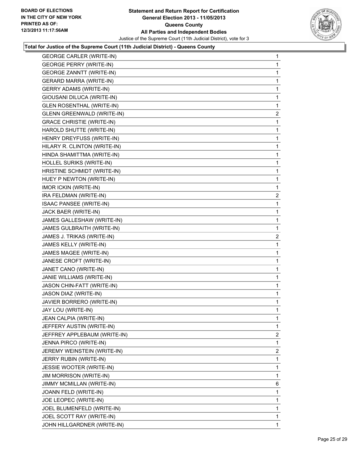

| <b>GEORGE CARLER (WRITE-IN)</b>   | 1              |
|-----------------------------------|----------------|
| <b>GEORGE PERRY (WRITE-IN)</b>    | $\mathbf{1}$   |
| <b>GEORGE ZANNTT (WRITE-IN)</b>   | 1              |
| <b>GERARD MARRA (WRITE-IN)</b>    | 1              |
| <b>GERRY ADAMS (WRITE-IN)</b>     | 1              |
| GIOUSANI DILUCA (WRITE-IN)        | 1              |
| <b>GLEN ROSENTHAL (WRITE-IN)</b>  | 1              |
| <b>GLENN GREENWALD (WRITE-IN)</b> | 2              |
| <b>GRACE CHRISTIE (WRITE-IN)</b>  | 1              |
| HAROLD SHUTTE (WRITE-IN)          | 1              |
| HENRY DREYFUSS (WRITE-IN)         | 1              |
| HILARY R. CLINTON (WRITE-IN)      | 1              |
| HINDA SHAMITTMA (WRITE-IN)        | 1              |
| HOLLEL SURIKS (WRITE-IN)          | 1              |
| HRISTINE SCHMIDT (WRITE-IN)       | 1              |
| HUEY P NEWTON (WRITE-IN)          | 1              |
| <b>IMOR ICKIN (WRITE-IN)</b>      | 1              |
| IRA FELDMAN (WRITE-IN)            | 2              |
| ISAAC PANSEE (WRITE-IN)           | 1              |
| JACK BAER (WRITE-IN)              | 1              |
| JAMES GALLESHAW (WRITE-IN)        | 1              |
| JAMES GULBRAITH (WRITE-IN)        | 1              |
| JAMES J. TRIKAS (WRITE-IN)        | 2              |
| JAMES KELLY (WRITE-IN)            | 1              |
| JAMES MAGEE (WRITE-IN)            | 1              |
| JANESE CROFT (WRITE-IN)           | 1              |
| JANET CANO (WRITE-IN)             | 1              |
| JANIE WILLIAMS (WRITE-IN)         | 1              |
| JASON CHIN-FATT (WRITE-IN)        | 1              |
| JASON DIAZ (WRITE-IN)             | 1              |
| JAVIER BORRERO (WRITE-IN)         | 1              |
| JAY LOU (WRITE-IN)                | 1              |
| JEAN CALPIA (WRITE-IN)            | 1              |
| JEFFERY AUSTIN (WRITE-IN)         | 1              |
| JEFFREY APPLEBAUM (WRITE-IN)      | $\overline{2}$ |
| JENNA PIRCO (WRITE-IN)            | 1              |
| JEREMY WEINSTEIN (WRITE-IN)       | 2              |
| JERRY RUBIN (WRITE-IN)            | 1              |
| JESSIE WOOTER (WRITE-IN)          | 1              |
| <b>JIM MORRISON (WRITE-IN)</b>    | 1              |
| JIMMY MCMILLAN (WRITE-IN)         | 6              |
| JOANN FELD (WRITE-IN)             | 1              |
| JOE LEOPEC (WRITE-IN)             | 1              |
| JOEL BLUMENFELD (WRITE-IN)        | 1              |
| JOEL SCOTT RAY (WRITE-IN)         | 1              |
| JOHN HILLGARDNER (WRITE-IN)       | 1              |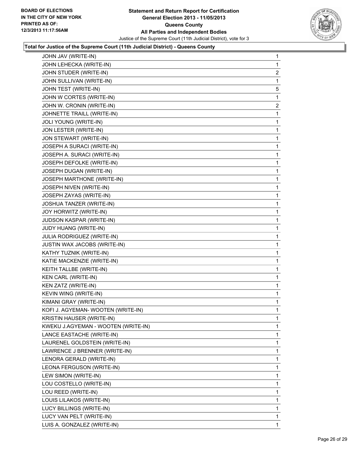

| JOHN JAV (WRITE-IN)                 | 1 |
|-------------------------------------|---|
| JOHN LEHECKA (WRITE-IN)             | 1 |
| JOHN STUDER (WRITE-IN)              | 2 |
| JOHN SULLIVAN (WRITE-IN)            | 1 |
| JOHN TEST (WRITE-IN)                | 5 |
| JOHN W CORTES (WRITE-IN)            | 1 |
| JOHN W. CRONIN (WRITE-IN)           | 2 |
| JOHNETTE TRAILL (WRITE-IN)          | 1 |
| JOLI YOUNG (WRITE-IN)               | 1 |
| JON LESTER (WRITE-IN)               | 1 |
| JON STEWART (WRITE-IN)              | 1 |
| JOSEPH A SURACI (WRITE-IN)          | 1 |
| JOSEPH A. SURACI (WRITE-IN)         | 1 |
| JOSEPH DEFOLKE (WRITE-IN)           | 1 |
| JOSEPH DUGAN (WRITE-IN)             | 1 |
| JOSEPH MARTHONE (WRITE-IN)          | 1 |
| JOSEPH NIVEN (WRITE-IN)             | 1 |
| JOSEPH ZAYAS (WRITE-IN)             | 1 |
| JOSHUA TANZER (WRITE-IN)            | 1 |
| JOY HORWITZ (WRITE-IN)              | 1 |
| <b>JUDSON KASPAR (WRITE-IN)</b>     | 1 |
| JUDY HUANG (WRITE-IN)               | 1 |
| JULIA RODRIGUEZ (WRITE-IN)          | 1 |
| <b>JUSTIN WAX JACOBS (WRITE-IN)</b> | 1 |
| KATHY TUZNIK (WRITE-IN)             | 1 |
| KATIE MACKENZIE (WRITE-IN)          | 1 |
| KEITH TALLBE (WRITE-IN)             | 1 |
| KEN CARL (WRITE-IN)                 | 1 |
| KEN ZATZ (WRITE-IN)                 | 1 |
| KEVIN WING (WRITE-IN)               | 1 |
| KIMANI GRAY (WRITE-IN)              | 1 |
| KOFI J. AGYEMAN- WOOTEN (WRITE-IN)  | 1 |
| KRISTIN HAUSER (WRITE-IN)           | 1 |
| KWEKU J.AGYEMAN - WOOTEN (WRITE-IN) | 1 |
| LANCE EASTACHE (WRITE-IN)           | 1 |
| LAURENEL GOLDSTEIN (WRITE-IN)       | 1 |
| LAWRENCE J BRENNER (WRITE-IN)       | 1 |
| LENORA GERALD (WRITE-IN)            | 1 |
| LEONA FERGUSON (WRITE-IN)           | 1 |
| LEW SIMON (WRITE-IN)                | 1 |
| LOU COSTELLO (WRITE-IN)             | 1 |
| LOU REED (WRITE-IN)                 | 1 |
| LOUIS LILAKOS (WRITE-IN)            | 1 |
| LUCY BILLINGS (WRITE-IN)            | 1 |
| LUCY VAN PELT (WRITE-IN)            | 1 |
| LUIS A. GONZALEZ (WRITE-IN)         | 1 |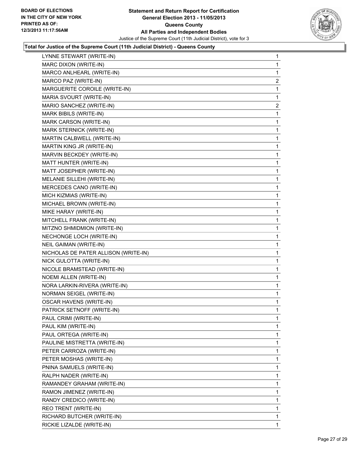

| LYNNE STEWART (WRITE-IN)             | 1              |
|--------------------------------------|----------------|
| MARC DIXON (WRITE-IN)                | 1              |
| MARCO ANLHEARL (WRITE-IN)            | 1              |
| MARCO PAZ (WRITE-IN)                 | 2              |
| MARGUERITE COROILE (WRITE-IN)        | 1              |
| MARIA SVOURT (WRITE-IN)              | 1              |
| MARIO SANCHEZ (WRITE-IN)             | $\overline{2}$ |
| MARK BIBILS (WRITE-IN)               | 1              |
| MARK CARSON (WRITE-IN)               | 1              |
| MARK STERNICK (WRITE-IN)             | 1              |
| MARTIN CALBWELL (WRITE-IN)           | 1              |
| MARTIN KING JR (WRITE-IN)            | 1              |
| MARVIN BECKDEY (WRITE-IN)            | 1              |
| MATT HUNTER (WRITE-IN)               | 1              |
| MATT JOSEPHER (WRITE-IN)             | 1              |
| MELANIE SILLEHI (WRITE-IN)           | 1              |
| MERCEDES CANO (WRITE-IN)             | 1              |
| MICH KIZMIAS (WRITE-IN)              | 1              |
| MICHAEL BROWN (WRITE-IN)             | 1              |
| MIKE HARAY (WRITE-IN)                | 1              |
| MITCHELL FRANK (WRITE-IN)            | 1              |
| MITZNO SHMIDMION (WRITE-IN)          | 1              |
| NECHONGE LOCH (WRITE-IN)             | 1              |
| NEIL GAIMAN (WRITE-IN)               | 1              |
| NICHOLAS DE PATER ALLISON (WRITE-IN) | 1              |
| NICK GULOTTA (WRITE-IN)              | 1              |
| NICOLE BRAMSTEAD (WRITE-IN)          | 1              |
| <b>NOEMI ALLEN (WRITE-IN)</b>        | 1              |
| NORA LARKIN-RIVERA (WRITE-IN)        | 1              |
| NORMAN SEIGEL (WRITE-IN)             | 1              |
| <b>OSCAR HAVENS (WRITE-IN)</b>       | 1              |
| PATRICK SETNOFF (WRITE-IN)           | 1              |
| PAUL CRIMI (WRITE-IN)                | 1              |
| PAUL KIM (WRITE-IN)                  | 1              |
| PAUL ORTEGA (WRITE-IN)               | 1              |
| PAULINE MISTRETTA (WRITE-IN)         | 1              |
| PETER CARROZA (WRITE-IN)             | 1              |
| PETER MOSHAS (WRITE-IN)              | 1              |
| PNINA SAMUELS (WRITE-IN)             | 1              |
| RALPH NADER (WRITE-IN)               | 1              |
| RAMANDEY GRAHAM (WRITE-IN)           | 1              |
| RAMON JIMENEZ (WRITE-IN)             | 1              |
| RANDY CREDICO (WRITE-IN)             | 1              |
| REO TRENT (WRITE-IN)                 | 1              |
| RICHARD BUTCHER (WRITE-IN)           | 1              |
| RICKIE LIZALDE (WRITE-IN)            | 1              |
|                                      |                |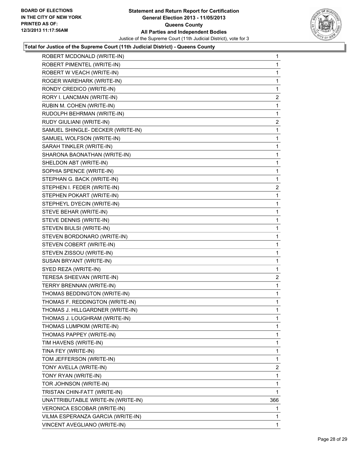

| ROBERT MCDONALD (WRITE-IN)         | 1              |
|------------------------------------|----------------|
| ROBERT PIMENTEL (WRITE-IN)         | $\mathbf{1}$   |
| ROBERT W VEACH (WRITE-IN)          | 1              |
| ROGER WAREHARK (WRITE-IN)          | 1              |
| RONDY CREDICO (WRITE-IN)           | 1              |
| RORY I. LANCMAN (WRITE-IN)         | $\overline{a}$ |
| RUBIN M. COHEN (WRITE-IN)          | 1              |
| RUDOLPH BEHRMAN (WRITE-IN)         | 1              |
| RUDY GIULIANI (WRITE-IN)           | $\mathbf{2}$   |
| SAMUEL SHINGLE- DECKER (WRITE-IN)  | 1              |
| SAMUEL WOLFSON (WRITE-IN)          | 1              |
| SARAH TINKLER (WRITE-IN)           | 1              |
| SHARONA BAONATHAN (WRITE-IN)       | 1              |
| SHELDON ABT (WRITE-IN)             | 1              |
| SOPHIA SPENCE (WRITE-IN)           | 1              |
| STEPHAN G. BACK (WRITE-IN)         | 1              |
| STEPHEN I. FEDER (WRITE-IN)        | 2              |
| STEPHEN POKART (WRITE-IN)          | 1              |
| STEPHEYL DYECIN (WRITE-IN)         | 1              |
| STEVE BEHAR (WRITE-IN)             | 1              |
| STEVE DENNIS (WRITE-IN)            | 1              |
| STEVEN BIULSI (WRITE-IN)           | 1              |
| STEVEN BORDONARO (WRITE-IN)        | 1              |
| STEVEN COBERT (WRITE-IN)           | 1              |
| STEVEN ZISSOU (WRITE-IN)           | 1              |
| SUSAN BRYANT (WRITE-IN)            | 1              |
| SYED REZA (WRITE-IN)               | 1              |
| TERESA SHEEVAN (WRITE-IN)          | 2              |
| TERRY BRENNAN (WRITE-IN)           | 1              |
| THOMAS BEDDINGTON (WRITE-IN)       | 1              |
| THOMAS F. REDDINGTON (WRITE-IN)    | 1              |
| THOMAS J. HILLGARDNER (WRITE-IN)   | 1              |
| THOMAS J. LOUGHRAM (WRITE-IN)      | 1              |
| THOMAS LUMPKIM (WRITE-IN)          | 1              |
| THOMAS PAPPEY (WRITE-IN)           | 1              |
| TIM HAVENS (WRITE-IN)              | 1              |
| TINA FEY (WRITE-IN)                | 1              |
| TOM JEFFERSON (WRITE-IN)           | 1              |
| TONY AVELLA (WRITE-IN)             | 2              |
| TONY RYAN (WRITE-IN)               | 1              |
| TOR JOHNSON (WRITE-IN)             | 1              |
| TRISTAN CHIN-FATT (WRITE-IN)       | 1              |
| UNATTRIBUTABLE WRITE-IN (WRITE-IN) | 366            |
| VERONICA ESCOBAR (WRITE-IN)        | 1              |
| VILMA ESPERANZA GARCIA (WRITE-IN)  | 1              |
| VINCENT AVEGLIANO (WRITE-IN)       | $\mathbf{1}$   |
|                                    |                |